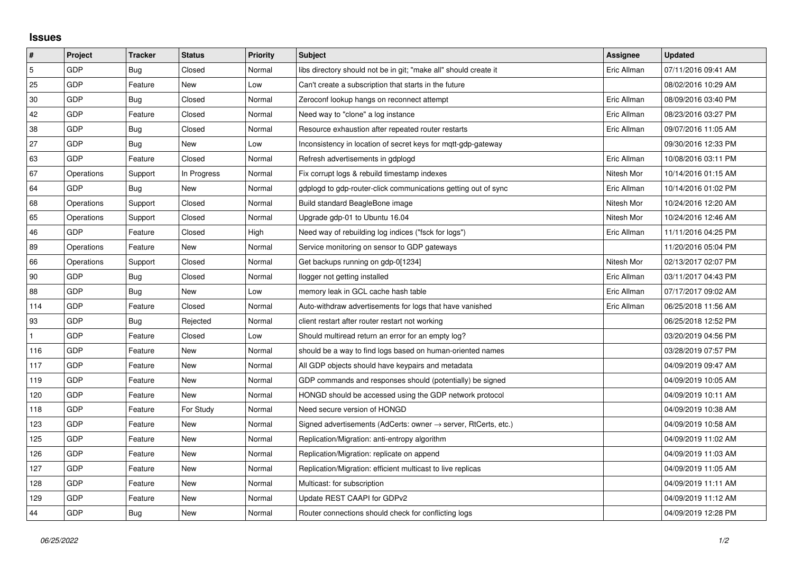## **Issues**

| $\vert$ #      | Project    | <b>Tracker</b> | <b>Status</b> | <b>Priority</b> | <b>Subject</b>                                                             | <b>Assignee</b> | <b>Updated</b>      |
|----------------|------------|----------------|---------------|-----------------|----------------------------------------------------------------------------|-----------------|---------------------|
| $\overline{5}$ | GDP        | Bug            | Closed        | Normal          | libs directory should not be in git; "make all" should create it           | Eric Allman     | 07/11/2016 09:41 AM |
| 25             | GDP        | Feature        | New           | Low             | Can't create a subscription that starts in the future                      |                 | 08/02/2016 10:29 AM |
| 30             | GDP        | Bug            | Closed        | Normal          | Zeroconf lookup hangs on reconnect attempt                                 | Eric Allman     | 08/09/2016 03:40 PM |
| 42             | GDP        | Feature        | Closed        | Normal          | Need way to "clone" a log instance                                         | Eric Allman     | 08/23/2016 03:27 PM |
| 38             | GDP        | Bug            | Closed        | Normal          | Resource exhaustion after repeated router restarts                         | Eric Allman     | 09/07/2016 11:05 AM |
| 27             | GDP        | Bug            | New           | Low             | Inconsistency in location of secret keys for mgtt-gdp-gateway              |                 | 09/30/2016 12:33 PM |
| 63             | GDP        | Feature        | Closed        | Normal          | Refresh advertisements in gdplogd                                          | Eric Allman     | 10/08/2016 03:11 PM |
| 67             | Operations | Support        | In Progress   | Normal          | Fix corrupt logs & rebuild timestamp indexes                               | Nitesh Mor      | 10/14/2016 01:15 AM |
| 64             | <b>GDP</b> | Bug            | New           | Normal          | gdplogd to gdp-router-click communications getting out of sync             | Eric Allman     | 10/14/2016 01:02 PM |
| 68             | Operations | Support        | Closed        | Normal          | Build standard BeagleBone image                                            | Nitesh Mor      | 10/24/2016 12:20 AM |
| 65             | Operations | Support        | Closed        | Normal          | Upgrade gdp-01 to Ubuntu 16.04                                             | Nitesh Mor      | 10/24/2016 12:46 AM |
| 46             | <b>GDP</b> | Feature        | Closed        | High            | Need way of rebuilding log indices ("fsck for logs")                       | Eric Allman     | 11/11/2016 04:25 PM |
| 89             | Operations | Feature        | New           | Normal          | Service monitoring on sensor to GDP gateways                               |                 | 11/20/2016 05:04 PM |
| 66             | Operations | Support        | Closed        | Normal          | Get backups running on gdp-0[1234]                                         | Nitesh Mor      | 02/13/2017 02:07 PM |
| 90             | GDP        | Bug            | Closed        | Normal          | llogger not getting installed                                              | Eric Allman     | 03/11/2017 04:43 PM |
| 88             | GDP        | Bug            | New           | Low             | memory leak in GCL cache hash table                                        | Eric Allman     | 07/17/2017 09:02 AM |
| 114            | GDP        | Feature        | Closed        | Normal          | Auto-withdraw advertisements for logs that have vanished                   | Eric Allman     | 06/25/2018 11:56 AM |
| 93             | GDP        | Bug            | Rejected      | Normal          | client restart after router restart not working                            |                 | 06/25/2018 12:52 PM |
|                | GDP        | Feature        | Closed        | Low             | Should multiread return an error for an empty log?                         |                 | 03/20/2019 04:56 PM |
| 116            | GDP        | Feature        | New           | Normal          | should be a way to find logs based on human-oriented names                 |                 | 03/28/2019 07:57 PM |
| 117            | GDP        | Feature        | New           | Normal          | All GDP objects should have keypairs and metadata                          |                 | 04/09/2019 09:47 AM |
| 119            | GDP        | Feature        | New           | Normal          | GDP commands and responses should (potentially) be signed                  |                 | 04/09/2019 10:05 AM |
| 120            | GDP        | Feature        | New           | Normal          | HONGD should be accessed using the GDP network protocol                    |                 | 04/09/2019 10:11 AM |
| 118            | GDP        | Feature        | For Study     | Normal          | Need secure version of HONGD                                               |                 | 04/09/2019 10:38 AM |
| 123            | GDP        | Feature        | <b>New</b>    | Normal          | Signed advertisements (AdCerts: owner $\rightarrow$ server, RtCerts, etc.) |                 | 04/09/2019 10:58 AM |
| 125            | GDP        | Feature        | New           | Normal          | Replication/Migration: anti-entropy algorithm                              |                 | 04/09/2019 11:02 AM |
| 126            | GDP        | Feature        | New           | Normal          | Replication/Migration: replicate on append                                 |                 | 04/09/2019 11:03 AM |
| 127            | GDP        | Feature        | New           | Normal          | Replication/Migration: efficient multicast to live replicas                |                 | 04/09/2019 11:05 AM |
| 128            | GDP        | Feature        | New           | Normal          | Multicast: for subscription                                                |                 | 04/09/2019 11:11 AM |
| 129            | GDP        | Feature        | New           | Normal          | Update REST CAAPI for GDPv2                                                |                 | 04/09/2019 11:12 AM |
| 44             | GDP        | Bug            | <b>New</b>    | Normal          | Router connections should check for conflicting logs                       |                 | 04/09/2019 12:28 PM |